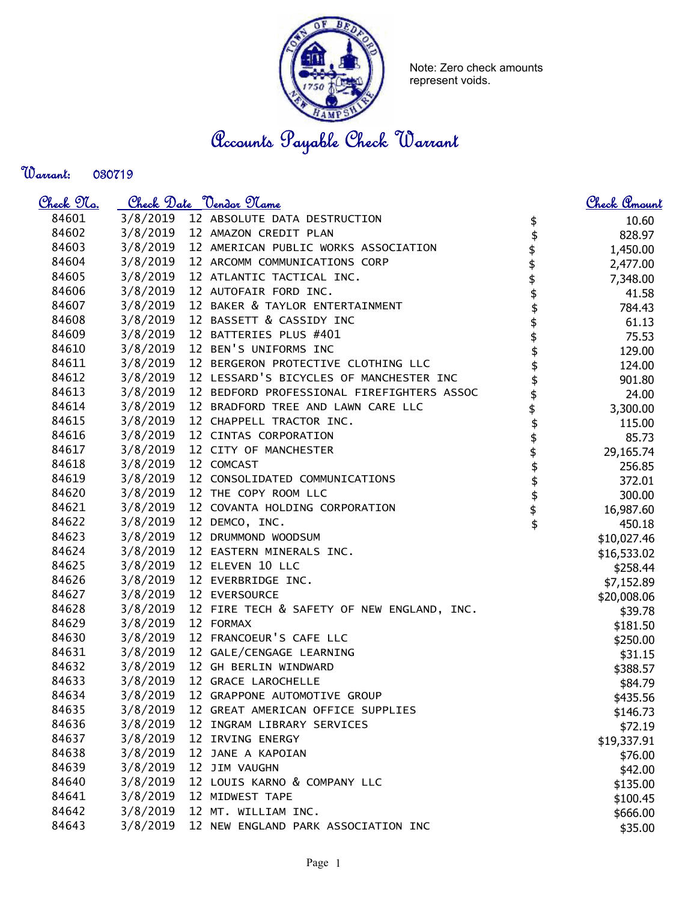

Note: Zero check amounts represent voids.

Accounts Payable Check Warrant

Warrant: 

| <u>Check 97a.</u> |          | Check Date <u>Vendor Name</u>                 |          | Check Amount |
|-------------------|----------|-----------------------------------------------|----------|--------------|
| 84601             |          | 3/8/2019 12 ABSOLUTE DATA DESTRUCTION         | \$       | 10.60        |
| 84602             |          | 3/8/2019 12 AMAZON CREDIT PLAN                | \$       | 828.97       |
| 84603             |          | 3/8/2019 12 AMERICAN PUBLIC WORKS ASSOCIATION |          | 1,450.00     |
| 84604             | 3/8/2019 | 12 ARCOMM COMMUNICATIONS CORP                 | \$<br>\$ | 2,477.00     |
| 84605             | 3/8/2019 | 12 ATLANTIC TACTICAL INC.                     |          | 7,348.00     |
| 84606             | 3/8/2019 | 12 AUTOFAIR FORD INC.                         | \$<br>\$ | 41.58        |
| 84607             | 3/8/2019 | 12 BAKER & TAYLOR ENTERTAINMENT               |          | 784.43       |
| 84608             | 3/8/2019 | 12 BASSETT & CASSIDY INC                      | \$       | 61.13        |
| 84609             | 3/8/2019 | 12 BATTERIES PLUS #401                        | \$       | 75.53        |
| 84610             | 3/8/2019 | 12 BEN'S UNIFORMS INC                         |          | 129.00       |
| 84611             | 3/8/2019 | 12 BERGERON PROTECTIVE CLOTHING LLC           |          | 124.00       |
| 84612             | 3/8/2019 | 12 LESSARD'S BICYCLES OF MANCHESTER INC       |          | 901.80       |
| 84613             | 3/8/2019 | 12 BEDFORD PROFESSIONAL FIREFIGHTERS ASSOC    |          | 24.00        |
| 84614             | 3/8/2019 | 12 BRADFORD TREE AND LAWN CARE LLC            |          | 3,300.00     |
| 84615             | 3/8/2019 | 12 CHAPPELL TRACTOR INC.                      |          | 115.00       |
| 84616             | 3/8/2019 | 12 CINTAS CORPORATION                         |          | 85.73        |
| 84617             | 3/8/2019 | 12 CITY OF MANCHESTER                         | \$       | 29,165.74    |
| 84618             | 3/8/2019 | 12 COMCAST                                    |          | 256.85       |
| 84619             | 3/8/2019 | 12 CONSOLIDATED COMMUNICATIONS                | \$       | 372.01       |
| 84620             |          | 3/8/2019 12 THE COPY ROOM LLC                 |          | 300.00       |
| 84621             |          | 3/8/2019 12 COVANTA HOLDING CORPORATION       | \$<br>\$ | 16,987.60    |
| 84622             | 3/8/2019 | 12 DEMCO, INC.                                | \$       | 450.18       |
| 84623             | 3/8/2019 | 12 DRUMMOND WOODSUM                           |          | \$10,027.46  |
| 84624             | 3/8/2019 | 12 EASTERN MINERALS INC.                      |          | \$16,533.02  |
| 84625             | 3/8/2019 | 12 ELEVEN 10 LLC                              |          | \$258.44     |
| 84626             | 3/8/2019 | 12 EVERBRIDGE INC.                            |          | \$7,152.89   |
| 84627             | 3/8/2019 | 12 EVERSOURCE                                 |          | \$20,008.06  |
| 84628             | 3/8/2019 | 12 FIRE TECH & SAFETY OF NEW ENGLAND, INC.    |          | \$39.78      |
| 84629             | 3/8/2019 | 12 FORMAX                                     |          | \$181.50     |
| 84630             | 3/8/2019 | 12 FRANCOEUR'S CAFE LLC                       |          | \$250.00     |
| 84631             | 3/8/2019 | 12 GALE/CENGAGE LEARNING                      |          | \$31.15      |
| 84632             | 3/8/2019 | 12 GH BERLIN WINDWARD                         |          | \$388.57     |
| 84633             | 3/8/2019 | 12 GRACE LAROCHELLE                           |          | \$84.79      |
| 84634             | 3/8/2019 | 12 GRAPPONE AUTOMOTIVE GROUP                  |          | \$435.56     |
| 84635             | 3/8/2019 | 12 GREAT AMERICAN OFFICE SUPPLIES             |          | \$146.73     |
| 84636             | 3/8/2019 | 12 INGRAM LIBRARY SERVICES                    |          | \$72.19      |
| 84637             | 3/8/2019 | 12 IRVING ENERGY                              |          | \$19,337.91  |
| 84638             | 3/8/2019 | 12 JANE A KAPOIAN                             |          | \$76.00      |
| 84639             | 3/8/2019 | 12 JIM VAUGHN                                 |          | \$42.00      |
| 84640             | 3/8/2019 | 12 LOUIS KARNO & COMPANY LLC                  |          | \$135.00     |
| 84641             | 3/8/2019 | 12 MIDWEST TAPE                               |          | \$100.45     |
| 84642             | 3/8/2019 | 12 MT. WILLIAM INC.                           |          | \$666.00     |
| 84643             | 3/8/2019 | 12 NEW ENGLAND PARK ASSOCIATION INC           |          | \$35.00      |